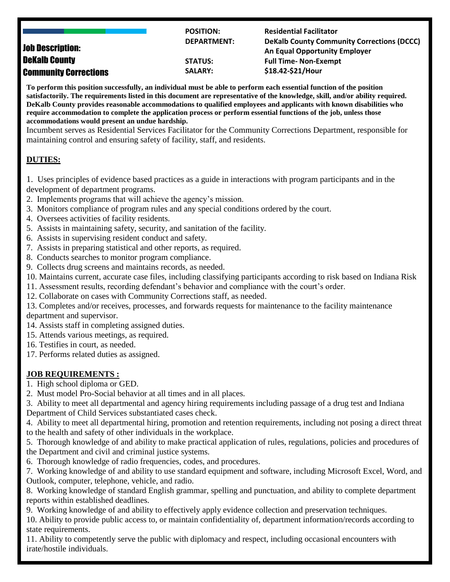|                              | <b>POSITION:</b>   | <b>Residential Facilitator</b>                    |
|------------------------------|--------------------|---------------------------------------------------|
|                              | <b>DEPARTMENT:</b> | <b>DeKalb County Community Corrections (DCCC)</b> |
| <b>Job Description:</b>      |                    | An Equal Opportunity Employer                     |
| <b>DeKalb County</b>         | <b>STATUS:</b>     | <b>Full Time- Non-Exempt</b>                      |
| <b>Community Corrections</b> | <b>SALARY:</b>     | \$18.42-\$21/Hour                                 |

**To perform this position successfully, an individual must be able to perform each essential function of the position satisfactorily. The requirements listed in this document are representative of the knowledge, skill, and/or ability required. DeKalb County provides reasonable accommodations to qualified employees and applicants with known disabilities who require accommodation to complete the application process or perform essential functions of the job, unless those accommodations would present an undue hardship.** 

Incumbent serves as Residential Services Facilitator for the Community Corrections Department, responsible for maintaining control and ensuring safety of facility, staff, and residents.

## **DUTIES:**

1. Uses principles of evidence based practices as a guide in interactions with program participants and in the development of department programs.

- 2. Implements programs that will achieve the agency's mission.
- 3. Monitors compliance of program rules and any special conditions ordered by the court.
- 4. Oversees activities of facility residents.
- 5. Assists in maintaining safety, security, and sanitation of the facility.
- 6. Assists in supervising resident conduct and safety.
- 7. Assists in preparing statistical and other reports, as required.
- 8. Conducts searches to monitor program compliance.
- 9. Collects drug screens and maintains records, as needed.
- 10. Maintains current, accurate case files, including classifying participants according to risk based on Indiana Risk
- 11. Assessment results, recording defendant's behavior and compliance with the court's order.
- 12. Collaborate on cases with Community Corrections staff, as needed.
- 13. Completes and/or receives, processes, and forwards requests for maintenance to the facility maintenance department and supervisor.
- 14. Assists staff in completing assigned duties.
- 15. Attends various meetings, as required.
- 16. Testifies in court, as needed.
- 17. Performs related duties as assigned.

## **JOB REQUIREMENTS :**

- 1. High school diploma or GED.
- 2. Must model Pro-Social behavior at all times and in all places.
- 3. Ability to meet all departmental and agency hiring requirements including passage of a drug test and Indiana Department of Child Services substantiated cases check.
- 4. Ability to meet all departmental hiring, promotion and retention requirements, including not posing a direct threat to the health and safety of other individuals in the workplace.
- 5. Thorough knowledge of and ability to make practical application of rules, regulations, policies and procedures of the Department and civil and criminal justice systems.
- 6. Thorough knowledge of radio frequencies, codes, and procedures*.*
- 7. Working knowledge of and ability to use standard equipment and software, including Microsoft Excel, Word, and Outlook, computer, telephone, vehicle, and radio.
- 8. Working knowledge of standard English grammar, spelling and punctuation, and ability to complete department reports within established deadlines.
- 9. Working knowledge of and ability to effectively apply evidence collection and preservation techniques.
- 10. Ability to provide public access to, or maintain confidentiality of, department information/records according to state requirements.
- 11. Ability to competently serve the public with diplomacy and respect, including occasional encounters with irate/hostile individuals.